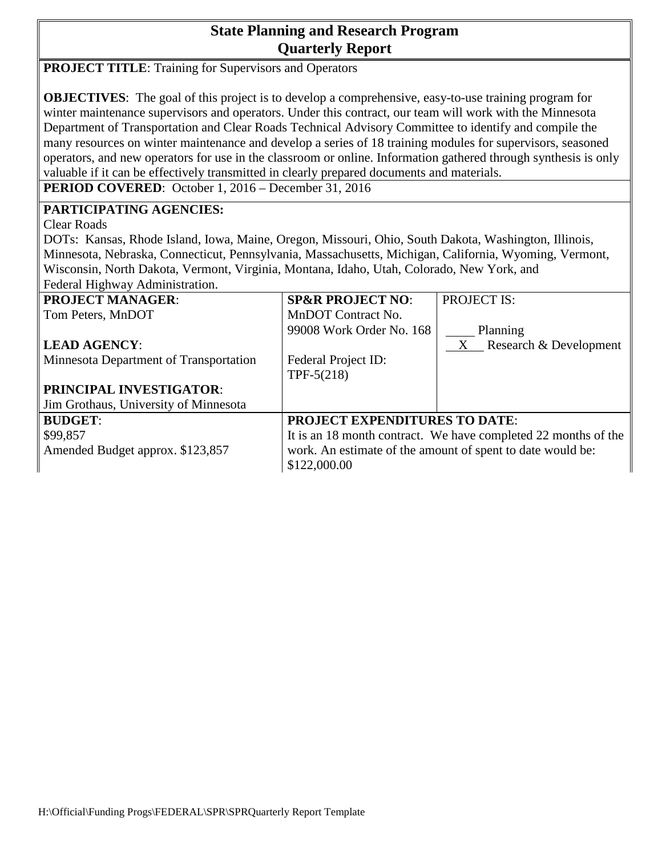# **State Planning and Research Program Quarterly Report**

**PROJECT TITLE:** Training for Supervisors and Operators

**OBJECTIVES**: The goal of this project is to develop a comprehensive, easy-to-use training program for winter maintenance supervisors and operators. Under this contract, our team will work with the Minnesota Department of Transportation and Clear Roads Technical Advisory Committee to identify and compile the many resources on winter maintenance and develop a series of 18 training modules for supervisors, seasoned operators, and new operators for use in the classroom or online. Information gathered through synthesis is only valuable if it can be effectively transmitted in clearly prepared documents and materials.

**PERIOD COVERED**: October 1, 2016 – December 31, 2016

### **PARTICIPATING AGENCIES:**

Clear Roads

DOTs: Kansas, Rhode Island, Iowa, Maine, Oregon, Missouri, Ohio, South Dakota, Washington, Illinois, Minnesota, Nebraska, Connecticut, Pennsylvania, Massachusetts, Michigan, California, Wyoming, Vermont, Wisconsin, North Dakota, Vermont, Virginia, Montana, Idaho, Utah, Colorado, New York, and Federal Highway Administration.

| <b>PROJECT MANAGER:</b>                | <b>SP&amp;R PROJECT NO:</b>                                    | <b>PROJECT IS:</b>         |
|----------------------------------------|----------------------------------------------------------------|----------------------------|
| Tom Peters, MnDOT                      | MnDOT Contract No.                                             |                            |
|                                        | 99008 Work Order No. 168                                       | Planning                   |
| <b>LEAD AGENCY:</b>                    |                                                                | $X$ Research & Development |
| Minnesota Department of Transportation | Federal Project ID:                                            |                            |
|                                        | TPF- $5(218)$                                                  |                            |
| <b>PRINCIPAL INVESTIGATOR:</b>         |                                                                |                            |
| Jim Grothaus, University of Minnesota  |                                                                |                            |
| <b>BUDGET:</b>                         | <b>PROJECT EXPENDITURES TO DATE:</b>                           |                            |
| \$99,857                               | It is an 18 month contract. We have completed 22 months of the |                            |
| Amended Budget approx. \$123,857       | work. An estimate of the amount of spent to date would be:     |                            |
|                                        | \$122,000.00                                                   |                            |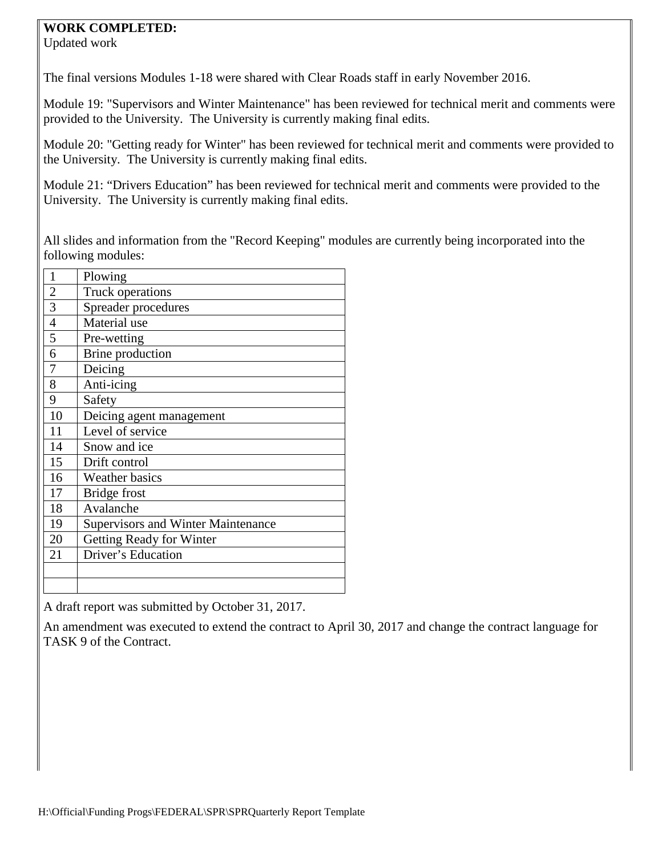#### **WORK COMPLETED:**

Updated work

The final versions Modules 1-18 were shared with Clear Roads staff in early November 2016.

Module 19: "Supervisors and Winter Maintenance" has been reviewed for technical merit and comments were provided to the University. The University is currently making final edits.

Module 20: "Getting ready for Winter" has been reviewed for technical merit and comments were provided to the University. The University is currently making final edits.

Module 21: "Drivers Education" has been reviewed for technical merit and comments were provided to the University. The University is currently making final edits.

All slides and information from the "Record Keeping" modules are currently being incorporated into the following modules:

| $\mathbf{1}$   | Plowing                                   |
|----------------|-------------------------------------------|
| $\overline{2}$ | <b>Truck operations</b>                   |
| $\overline{3}$ | Spreader procedures                       |
| $\overline{4}$ | Material use                              |
| 5              | Pre-wetting                               |
| 6              | Brine production                          |
| 7              | Deicing                                   |
| 8              | Anti-icing                                |
| 9              | Safety                                    |
| 10             | Deicing agent management                  |
| 11             | Level of service                          |
| 14             | Snow and ice                              |
| 15             | Drift control                             |
| 16             | <b>Weather basics</b>                     |
| 17             | Bridge frost                              |
| 18             | Avalanche                                 |
| 19             | <b>Supervisors and Winter Maintenance</b> |
| 20             | Getting Ready for Winter                  |
| 21             | Driver's Education                        |
|                |                                           |
|                |                                           |

A draft report was submitted by October 31, 2017.

An amendment was executed to extend the contract to April 30, 2017 and change the contract language for TASK 9 of the Contract.